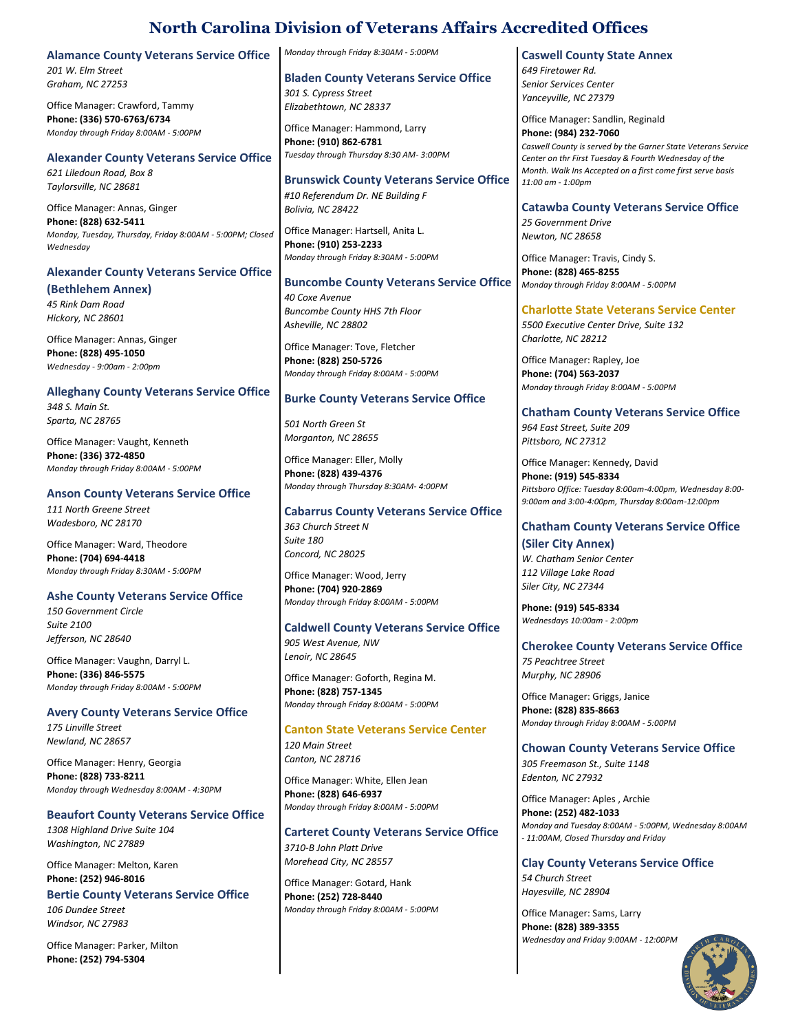**Alamance County Veterans Service Office**

*201 W. Elm Street Graham, NC 27253*

Office Manager: Crawford, Tammy **Phone: (336) 570-6763/6734** *Monday through Friday 8:00AM - 5:00PM*

### **Alexander County Veterans Service Office**

*621 Liledoun Road, Box 8 Taylorsville, NC 28681*

Office Manager: Annas, Ginger **Phone: (828) 632-5411** *Monday, Tuesday, Thursday, Friday 8:00AM - 5:00PM; Closed Wednesday*

# **Alexander County Veterans Service Office**

**(Bethlehem Annex)**

*45 Rink Dam Road Hickory, NC 28601*

Office Manager: Annas, Ginger **Phone: (828) 495-1050** *Wednesday - 9:00am - 2:00pm*

# **Alleghany County Veterans Service Office**

*348 S. Main St. Sparta, NC 28765*

Office Manager: Vaught, Kenneth **Phone: (336) 372-4850** *Monday through Friday 8:00AM - 5:00PM*

## **Anson County Veterans Service Office**

*111 North Greene Street Wadesboro, NC 28170*

Office Manager: Ward, Theodore **Phone: (704) 694-4418** *Monday through Friday 8:30AM - 5:00PM*

## **Ashe County Veterans Service Office**

*150 Government Circle Suite 2100 Jefferson, NC 28640*

Office Manager: Vaughn, Darryl L. **Phone: (336) 846-5575** *Monday through Friday 8:00AM - 5:00PM*

# **Avery County Veterans Service Office**

*175 Linville Street Newland, NC 28657*

Office Manager: Henry, Georgia **Phone: (828) 733-8211** *Monday through Wednesday 8:00AM - 4:30PM*

# **Beaufort County Veterans Service Office**

*1308 Highland Drive Suite 104 Washington, NC 27889*

Office Manager: Melton, Karen **Phone: (252) 946-8016**

### **Bertie County Veterans Service Office** *106 Dundee Street*

*Windsor, NC 27983*

Office Manager: Parker, Milton **Phone: (252) 794-5304**

*Monday through Friday 8:30AM - 5:00PM*

**Bladen County Veterans Service Office** *301 S. Cypress Street*

*Elizabethtown, NC 28337* Office Manager: Hammond, Larry **Phone: (910) 862-6781**

*Tuesday through Thursday 8:30 AM- 3:00PM*

**Brunswick County Veterans Service Office** *#10 Referendum Dr. NE Building F Bolivia, NC 28422*

Office Manager: Hartsell, Anita L. **Phone: (910) 253-2233** *Monday through Friday 8:30AM - 5:00PM*

# **Buncombe County Veterans Service Office** *40 Coxe Avenue*

*Buncombe County HHS 7th Floor Asheville, NC 28802*

Office Manager: Tove, Fletcher **Phone: (828) 250-5726** *Monday through Friday 8:00AM - 5:00PM*

# **Burke County Veterans Service Office**

*501 North Green St Morganton, NC 28655*

Office Manager: Eller, Molly **Phone: (828) 439-4376** *Monday through Thursday 8:30AM- 4:00PM*

# **Cabarrus County Veterans Service Office**

*363 Church Street N Suite 180 Concord, NC 28025*

Office Manager: Wood, Jerry **Phone: (704) 920-2869** *Monday through Friday 8:00AM - 5:00PM*

# **Caldwell County Veterans Service Office**

*905 West Avenue, NW Lenoir, NC 28645*

Office Manager: Goforth, Regina M. **Phone: (828) 757-1345** *Monday through Friday 8:00AM - 5:00PM*

**Canton State Veterans Service Center** *120 Main Street Canton, NC 28716*

Office Manager: White, Ellen Jean **Phone: (828) 646-6937** *Monday through Friday 8:00AM - 5:00PM*

# **Carteret County Veterans Service Office**

*3710-B John Platt Drive Morehead City, NC 28557*

Office Manager: Gotard, Hank **Phone: (252) 728-8440** *Monday through Friday 8:00AM - 5:00PM*

# **Caswell County State Annex**

*649 Firetower Rd. Senior Services Center Yanceyville, NC 27379*

Office Manager: Sandlin, Reginald **Phone: (984) 232-7060** *Caswell County is served by the Garner State Veterans Service Center on thr First Tuesday & Fourth Wednesday of the Month. Walk Ins Accepted on a first come first serve basis 11:00 am - 1:00pm*

## **Catawba County Veterans Service Office**

*25 Government Drive Newton, NC 28658*

Office Manager: Travis, Cindy S. **Phone: (828) 465-8255** *Monday through Friday 8:00AM - 5:00PM*

# **Charlotte State Veterans Service Center**

*5500 Executive Center Drive, Suite 132 Charlotte, NC 28212*

Office Manager: Rapley, Joe **Phone: (704) 563-2037** *Monday through Friday 8:00AM - 5:00PM*

# **Chatham County Veterans Service Office**

*964 East Street, Suite 209 Pittsboro, NC 27312*

Office Manager: Kennedy, David **Phone: (919) 545-8334** *Pittsboro Office: Tuesday 8:00am-4:00pm, Wednesday 8:00- 9:00am and 3:00-4:00pm, Thursday 8:00am-12:00pm*

# **Chatham County Veterans Service Office**

**(Siler City Annex)** *W. Chatham Senior Center 112 Village Lake Road Siler City, NC 27344*

**Phone: (919) 545-8334** *Wednesdays 10:00am - 2:00pm*

# **Cherokee County Veterans Service Office**

*75 Peachtree Street Murphy, NC 28906*

Office Manager: Griggs, Janice **Phone: (828) 835-8663** *Monday through Friday 8:00AM - 5:00PM*

# **Chowan County Veterans Service Office**

*305 Freemason St., Suite 1148 Edenton, NC 27932*

Office Manager: Aples , Archie **Phone: (252) 482-1033** *Monday and Tuesday 8:00AM - 5:00PM, Wednesday 8:00AM - 11:00AM, Closed Thursday and Friday*

**Clay County Veterans Service Office** *54 Church Street Hayesville, NC 28904*

Office Manager: Sams, Larry **Phone: (828) 389-3355** *Wednesday and Friday 9:00AM - 12:00PM*

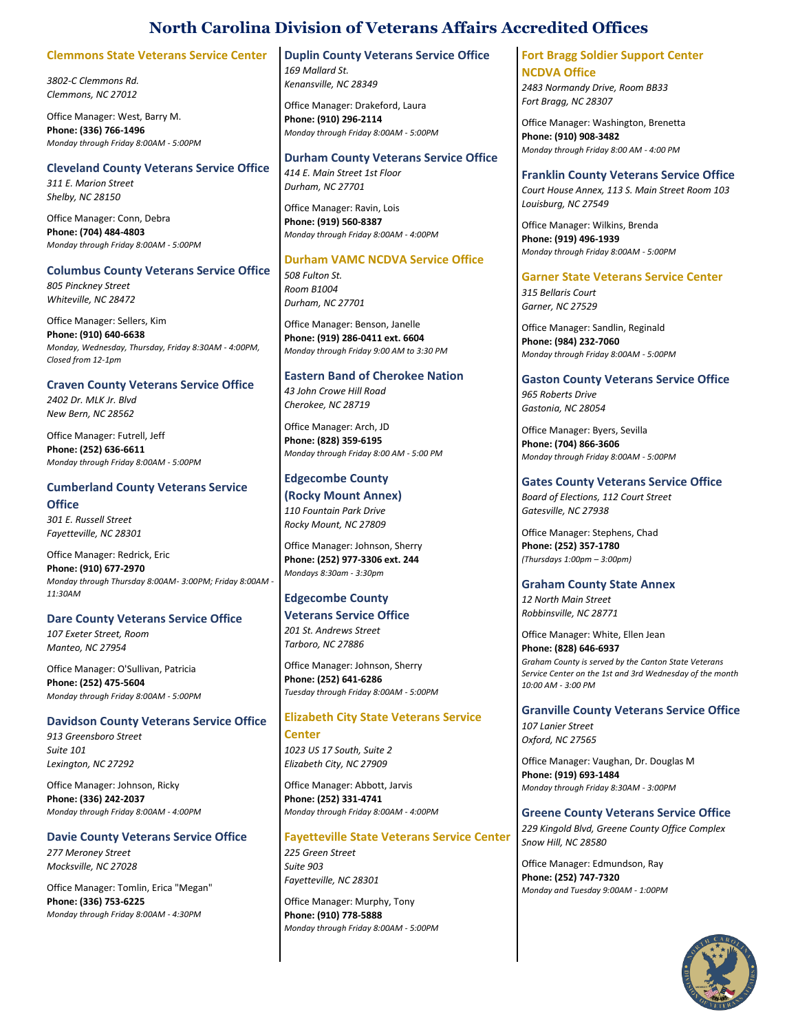## **Clemmons State Veterans Service Center**

*3802-C Clemmons Rd. Clemmons, NC 27012*

Office Manager: West, Barry M. **Phone: (336) 766-1496** *Monday through Friday 8:00AM - 5:00PM*

# **Cleveland County Veterans Service Office**

*311 E. Marion Street Shelby, NC 28150*

Office Manager: Conn, Debra **Phone: (704) 484-4803** *Monday through Friday 8:00AM - 5:00PM*

## **Columbus County Veterans Service Office**

*805 Pinckney Street Whiteville, NC 28472*

Office Manager: Sellers, Kim **Phone: (910) 640-6638** *Monday, Wednesday, Thursday, Friday 8:30AM - 4:00PM, Closed from 12-1pm*

## **Craven County Veterans Service Office**

*2402 Dr. MLK Jr. Blvd New Bern, NC 28562*

Office Manager: Futrell, Jeff **Phone: (252) 636-6611** *Monday through Friday 8:00AM - 5:00PM*

# **Cumberland County Veterans Service Office**

*301 E. Russell Street Fayetteville, NC 28301*

Office Manager: Redrick, Eric

**Phone: (910) 677-2970** *Monday through Thursday 8:00AM- 3:00PM; Friday 8:00AM - 11:30AM*

## **Dare County Veterans Service Office**

*107 Exeter Street, Room Manteo, NC 27954*

Office Manager: O'Sullivan, Patricia **Phone: (252) 475-5604** *Monday through Friday 8:00AM - 5:00PM*

### **Davidson County Veterans Service Office**

*913 Greensboro Street Suite 101 Lexington, NC 27292*

Office Manager: Johnson, Ricky **Phone: (336) 242-2037** *Monday through Friday 8:00AM - 4:00PM*

## **Davie County Veterans Service Office**

*277 Meroney Street Mocksville, NC 27028*

Office Manager: Tomlin, Erica "Megan" **Phone: (336) 753-6225** *Monday through Friday 8:00AM - 4:30PM*

### **Duplin County Veterans Service Office**

*169 Mallard St. Kenansville, NC 28349*

Office Manager: Drakeford, Laura **Phone: (910) 296-2114** *Monday through Friday 8:00AM - 5:00PM*

### **Durham County Veterans Service Office**

*414 E. Main Street 1st Floor Durham, NC 27701*

Office Manager: Ravin, Lois **Phone: (919) 560-8387** *Monday through Friday 8:00AM - 4:00PM*

### **Durham VAMC NCDVA Service Office**

*508 Fulton St. Room B1004 Durham, NC 27701*

Office Manager: Benson, Janelle **Phone: (919) 286-0411 ext. 6604** *Monday through Friday 9:00 AM to 3:30 PM*

## **Eastern Band of Cherokee Nation**

*43 John Crowe Hill Road Cherokee, NC 28719*

Office Manager: Arch, JD **Phone: (828) 359-6195** *Monday through Friday 8:00 AM - 5:00 PM*

# **Edgecombe County**

**(Rocky Mount Annex)** *110 Fountain Park Drive Rocky Mount, NC 27809*

Office Manager: Johnson, Sherry **Phone: (252) 977-3306 ext. 244** *Mondays 8:30am - 3:30pm*

## **Edgecombe County**

### **Veterans Service Office** *201 St. Andrews Street*

*Tarboro, NC 27886*

Office Manager: Johnson, Sherry **Phone: (252) 641-6286** *Tuesday through Friday 8:00AM - 5:00PM*

## **Elizabeth City State Veterans Service**

**Center** *1023 US 17 South, Suite 2 Elizabeth City, NC 27909*

Office Manager: Abbott, Jarvis **Phone: (252) 331-4741** *Monday through Friday 8:00AM - 4:00PM*

### **Fayetteville State Veterans Service Center** *225 Green Street Suite 903 Fayetteville, NC 28301*

Office Manager: Murphy, Tony **Phone: (910) 778-5888** *Monday through Friday 8:00AM - 5:00PM*

### **Fort Bragg Soldier Support Center NCDVA Office**

*2483 Normandy Drive, Room BB33 Fort Bragg, NC 28307*

Office Manager: Washington, Brenetta **Phone: (910) 908-3482** *Monday through Friday 8:00 AM - 4:00 PM*

### **Franklin County Veterans Service Office**

*Court House Annex, 113 S. Main Street Room 103 Louisburg, NC 27549*

Office Manager: Wilkins, Brenda **Phone: (919) 496-1939** *Monday through Friday 8:00AM - 5:00PM*

## **Garner State Veterans Service Center**

*315 Bellaris Court Garner, NC 27529*

Office Manager: Sandlin, Reginald **Phone: (984) 232-7060** *Monday through Friday 8:00AM - 5:00PM*

## **Gaston County Veterans Service Office**

*965 Roberts Drive Gastonia, NC 28054*

Office Manager: Byers, Sevilla **Phone: (704) 866-3606** *Monday through Friday 8:00AM - 5:00PM*

## **Gates County Veterans Service Office**

*Board of Elections, 112 Court Street Gatesville, NC 27938*

Office Manager: Stephens, Chad **Phone: (252) 357-1780** *(Thursdays 1:00pm – 3:00pm)*

## **Graham County State Annex**

*12 North Main Street Robbinsville, NC 28771*

Office Manager: White, Ellen Jean **Phone: (828) 646-6937** *Graham County is served by the Canton State Veterans Service Center on the 1st and 3rd Wednesday of the month 10:00 AM - 3:00 PM*

**Granville County Veterans Service Office** *107 Lanier Street Oxford, NC 27565*

Office Manager: Vaughan, Dr. Douglas M **Phone: (919) 693-1484** *Monday through Friday 8:30AM - 3:00PM*

# **Greene County Veterans Service Office**

*229 Kingold Blvd, Greene County Office Complex Snow Hill, NC 28580*

Office Manager: Edmundson, Ray **Phone: (252) 747-7320** *Monday and Tuesday 9:00AM - 1:00PM*

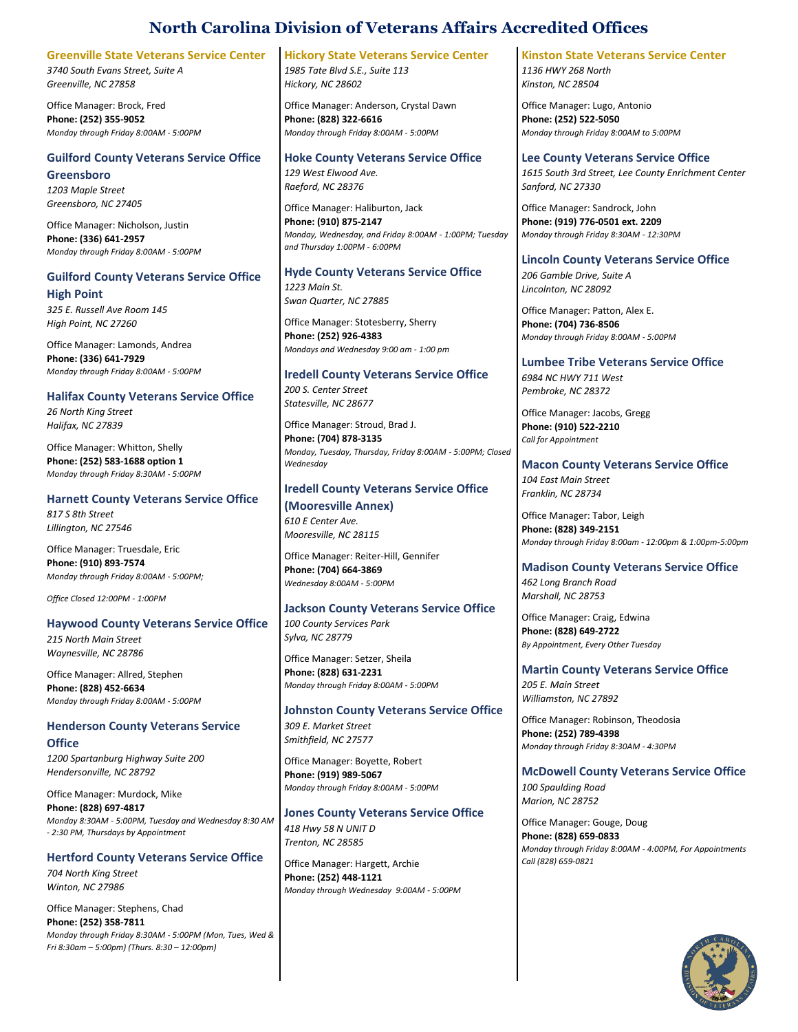## **Greenville State Veterans Service Center**

*3740 South Evans Street, Suite A Greenville, NC 27858*

Office Manager: Brock, Fred **Phone: (252) 355-9052** *Monday through Friday 8:00AM - 5:00PM*

# **Guilford County Veterans Service Office**

**Greensboro** *1203 Maple Street*

*Greensboro, NC 27405*

Office Manager: Nicholson, Justin **Phone: (336) 641-2957** *Monday through Friday 8:00AM - 5:00PM*

# **Guilford County Veterans Service Office High Point**

*325 E. Russell Ave Room 145 High Point, NC 27260*

Office Manager: Lamonds, Andrea **Phone: (336) 641-7929** *Monday through Friday 8:00AM - 5:00PM*

## **Halifax County Veterans Service Office**

*26 North King Street Halifax, NC 27839*

Office Manager: Whitton, Shelly **Phone: (252) 583-1688 option 1** *Monday through Friday 8:30AM - 5:00PM*

## **Harnett County Veterans Service Office**

*817 S 8th Street Lillington, NC 27546*

Office Manager: Truesdale, Eric **Phone: (910) 893-7574** *Monday through Friday 8:00AM - 5:00PM;*

*Office Closed 12:00PM - 1:00PM*

## **Haywood County Veterans Service Office**

*215 North Main Street Waynesville, NC 28786*

Office Manager: Allred, Stephen **Phone: (828) 452-6634** *Monday through Friday 8:00AM - 5:00PM*

## **Henderson County Veterans Service**

**Office** *1200 Spartanburg Highway Suite 200*

*Hendersonville, NC 28792*

Office Manager: Murdock, Mike **Phone: (828) 697-4817** *Monday 8:30AM - 5:00PM, Tuesday and Wednesday 8:30 AM - 2:30 PM, Thursdays by Appointment*

# **Hertford County Veterans Service Office**

*704 North King Street Winton, NC 27986*

Office Manager: Stephens, Chad **Phone: (252) 358-7811** *Monday through Friday 8:30AM - 5:00PM (Mon, Tues, Wed & Fri 8:30am – 5:00pm) (Thurs. 8:30 – 12:00pm)*

# **Hickory State Veterans Service Center**

*1985 Tate Blvd S.E., Suite 113 Hickory, NC 28602*

Office Manager: Anderson, Crystal Dawn **Phone: (828) 322-6616** *Monday through Friday 8:00AM - 5:00PM*

## **Hoke County Veterans Service Office**

*129 West Elwood Ave. Raeford, NC 28376*

Office Manager: Haliburton, Jack **Phone: (910) 875-2147** *Monday, Wednesday, and Friday 8:00AM - 1:00PM; Tuesday and Thursday 1:00PM - 6:00PM*

## **Hyde County Veterans Service Office**

*1223 Main St. Swan Quarter, NC 27885*

Office Manager: Stotesberry, Sherry **Phone: (252) 926-4383** *Mondays and Wednesday 9:00 am - 1:00 pm*

# **Iredell County Veterans Service Office**

*200 S. Center Street Statesville, NC 28677*

Office Manager: Stroud, Brad J. **Phone: (704) 878-3135** *Monday, Tuesday, Thursday, Friday 8:00AM - 5:00PM; Closed Wednesday*

# **Iredell County Veterans Service Office**

**(Mooresville Annex)** *610 E Center Ave. Mooresville, NC 28115*

Office Manager: Reiter-Hill, Gennifer **Phone: (704) 664-3869** *Wednesday 8:00AM - 5:00PM*

## **Jackson County Veterans Service Office**

*100 County Services Park Sylva, NC 28779*

Office Manager: Setzer, Sheila **Phone: (828) 631-2231** *Monday through Friday 8:00AM - 5:00PM*

**Johnston County Veterans Service Office** *309 E. Market Street Smithfield, NC 27577*

Office Manager: Boyette, Robert **Phone: (919) 989-5067** *Monday through Friday 8:00AM - 5:00PM*

**Jones County Veterans Service Office** *418 Hwy 58 N UNIT D Trenton, NC 28585*

Office Manager: Hargett, Archie **Phone: (252) 448-1121** *Monday through Wednesday 9:00AM - 5:00PM*

# **Kinston State Veterans Service Center**

*1136 HWY 268 North Kinston, NC 28504*

Office Manager: Lugo, Antonio **Phone: (252) 522-5050** *Monday through Friday 8:00AM to 5:00PM*

**Lee County Veterans Service Office** *1615 South 3rd Street, Lee County Enrichment Center Sanford, NC 27330*

Office Manager: Sandrock, John **Phone: (919) 776-0501 ext. 2209** *Monday through Friday 8:30AM - 12:30PM*

## **Lincoln County Veterans Service Office**

*206 Gamble Drive, Suite A Lincolnton, NC 28092*

Office Manager: Patton, Alex E. **Phone: (704) 736-8506** *Monday through Friday 8:00AM - 5:00PM*

# **Lumbee Tribe Veterans Service Office**

*6984 NC HWY 711 West Pembroke, NC 28372*

Office Manager: Jacobs, Gregg **Phone: (910) 522-2210** *Call for Appointment*

## **Macon County Veterans Service Office**

*104 East Main Street Franklin, NC 28734*

Office Manager: Tabor, Leigh **Phone: (828) 349-2151** *Monday through Friday 8:00am - 12:00pm & 1:00pm-5:00pm*

# **Madison County Veterans Service Office**

*462 Long Branch Road Marshall, NC 28753*

Office Manager: Craig, Edwina **Phone: (828) 649-2722** *By Appointment, Every Other Tuesday*

# **Martin County Veterans Service Office** *205 E. Main Street*

*Williamston, NC 27892*

Office Manager: Robinson, Theodosia **Phone: (252) 789-4398** *Monday through Friday 8:30AM - 4:30PM*

**McDowell County Veterans Service Office** *100 Spaulding Road Marion, NC 28752*

Office Manager: Gouge, Doug **Phone: (828) 659-0833** *Monday through Friday 8:00AM - 4:00PM, For Appointments Call (828) 659-0821*

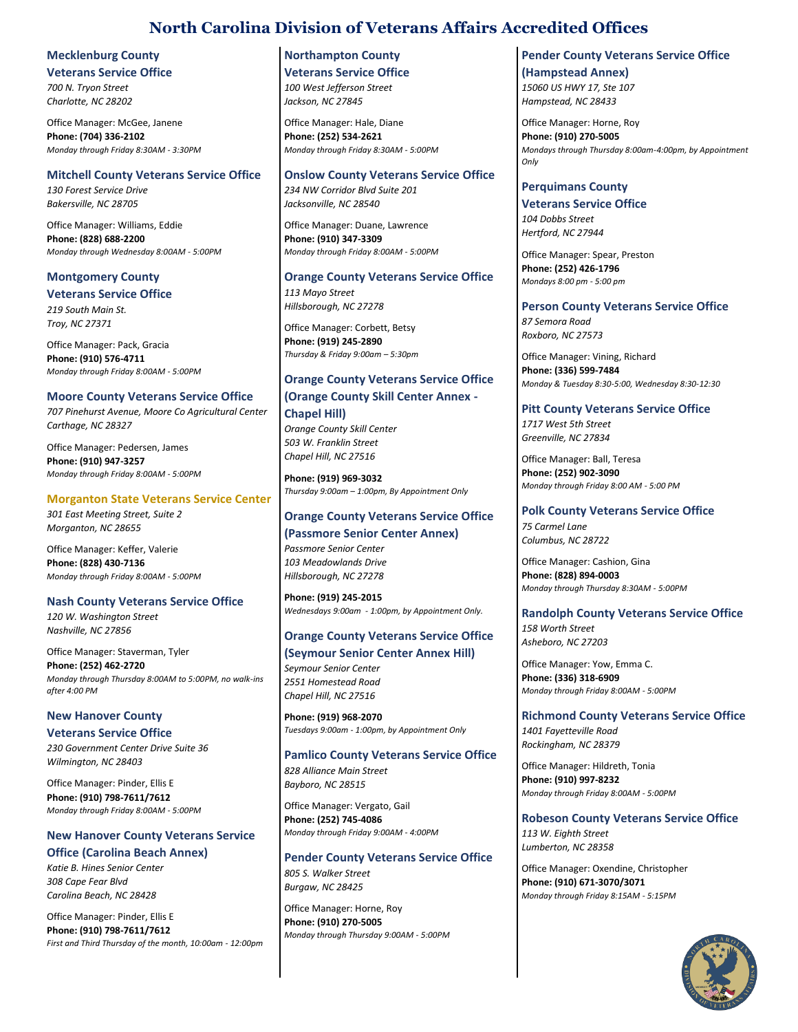# **Mecklenburg County**

**Veterans Service Office** *700 N. Tryon Street*

*Charlotte, NC 28202*

Office Manager: McGee, Janene **Phone: (704) 336-2102** *Monday through Friday 8:30AM - 3:30PM*

# **Mitchell County Veterans Service Office**

*130 Forest Service Drive Bakersville, NC 28705*

Office Manager: Williams, Eddie **Phone: (828) 688-2200** *Monday through Wednesday 8:00AM - 5:00PM*

# **Montgomery County Veterans Service Office**

*219 South Main St. Troy, NC 27371*

Office Manager: Pack, Gracia **Phone: (910) 576-4711** *Monday through Friday 8:00AM - 5:00PM*

# **Moore County Veterans Service Office**

*707 Pinehurst Avenue, Moore Co Agricultural Center Carthage, NC 28327*

Office Manager: Pedersen, James **Phone: (910) 947-3257** *Monday through Friday 8:00AM - 5:00PM*

## **Morganton State Veterans Service Center**

*301 East Meeting Street, Suite 2 Morganton, NC 28655*

Office Manager: Keffer, Valerie **Phone: (828) 430-7136** *Monday through Friday 8:00AM - 5:00PM*

## **Nash County Veterans Service Office**

*120 W. Washington Street Nashville, NC 27856*

Office Manager: Staverman, Tyler **Phone: (252) 462-2720** *Monday through Thursday 8:00AM to 5:00PM, no walk-ins after 4:00 PM*

**New Hanover County Veterans Service Office** *230 Government Center Drive Suite 36 Wilmington, NC 28403*

Office Manager: Pinder, Ellis E **Phone: (910) 798-7611/7612** *Monday through Friday 8:00AM - 5:00PM*

# **New Hanover County Veterans Service Office (Carolina Beach Annex)**

*Katie B. Hines Senior Center 308 Cape Fear Blvd Carolina Beach, NC 28428*

Office Manager: Pinder, Ellis E **Phone: (910) 798-7611/7612** *First and Third Thursday of the month, 10:00am - 12:00pm*

## **Northampton County Veterans Service Office** *100 West Jefferson Street*

*Jackson, NC 27845*

Office Manager: Hale, Diane **Phone: (252) 534-2621** *Monday through Friday 8:30AM - 5:00PM*

# **Onslow County Veterans Service Office**

*234 NW Corridor Blvd Suite 201 Jacksonville, NC 28540*

Office Manager: Duane, Lawrence **Phone: (910) 347-3309** *Monday through Friday 8:00AM - 5:00PM*

### **Orange County Veterans Service Office** *113 Mayo Street*

*Hillsborough, NC 27278*

Office Manager: Corbett, Betsy **Phone: (919) 245-2890** *Thursday & Friday 9:00am – 5:30pm*

# **Orange County Veterans Service Office**

# **(Orange County Skill Center Annex - Chapel Hill)**

*Orange County Skill Center 503 W. Franklin Street Chapel Hill, NC 27516*

**Phone: (919) 969-3032** *Thursday 9:00am – 1:00pm, By Appointment Only*

# **Orange County Veterans Service Office (Passmore Senior Center Annex)**

*Passmore Senior Center 103 Meadowlands Drive Hillsborough, NC 27278*

**Phone: (919) 245-2015** *Wednesdays 9:00am - 1:00pm, by Appointment Only.*

# **Orange County Veterans Service Office**

# **(Seymour Senior Center Annex Hill)**

*Seymour Senior Center 2551 Homestead Road Chapel Hill, NC 27516*

**Phone: (919) 968-2070** *Tuesdays 9:00am - 1:00pm, by Appointment Only*

# **Pamlico County Veterans Service Office** *828 Alliance Main Street*

*Bayboro, NC 28515*

Office Manager: Vergato, Gail **Phone: (252) 745-4086** *Monday through Friday 9:00AM - 4:00PM*

**Pender County Veterans Service Office** *805 S. Walker Street Burgaw, NC 28425*

Office Manager: Horne, Roy **Phone: (910) 270-5005** *Monday through Thursday 9:00AM - 5:00PM*

**Pender County Veterans Service Office (Hampstead Annex)** *15060 US HWY 17, Ste 107 Hampstead, NC 28433*

Office Manager: Horne, Roy **Phone: (910) 270-5005** *Mondays through Thursday 8:00am-4:00pm, by Appointment Only*

# **Perquimans County**

**Veterans Service Office** *104 Dobbs Street Hertford, NC 27944*

Office Manager: Spear, Preston **Phone: (252) 426-1796** *Mondays 8:00 pm - 5:00 pm*

# **Person County Veterans Service Office**

*87 Semora Road Roxboro, NC 27573*

Office Manager: Vining, Richard **Phone: (336) 599-7484** *Monday & Tuesday 8:30-5:00, Wednesday 8:30-12:30*

# **Pitt County Veterans Service Office**

*1717 West 5th Street Greenville, NC 27834*

Office Manager: Ball, Teresa **Phone: (252) 902-3090** *Monday through Friday 8:00 AM - 5:00 PM*

# **Polk County Veterans Service Office**

*75 Carmel Lane Columbus, NC 28722*

Office Manager: Cashion, Gina **Phone: (828) 894-0003** *Monday through Thursday 8:30AM - 5:00PM*

# **Randolph County Veterans Service Office**

*158 Worth Street Asheboro, NC 27203*

Office Manager: Yow, Emma C. **Phone: (336) 318-6909** *Monday through Friday 8:00AM - 5:00PM*

# **Richmond County Veterans Service Office**

*1401 Fayetteville Road Rockingham, NC 28379*

Office Manager: Hildreth, Tonia **Phone: (910) 997-8232** *Monday through Friday 8:00AM - 5:00PM*

**Robeson County Veterans Service Office**

*113 W. Eighth Street Lumberton, NC 28358*

Office Manager: Oxendine, Christopher **Phone: (910) 671-3070/3071** *Monday through Friday 8:15AM - 5:15PM*